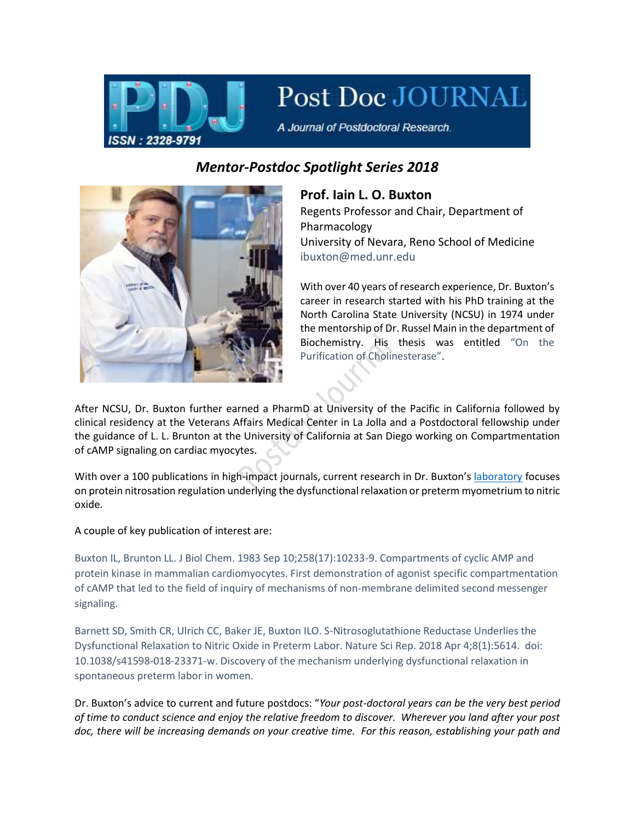

## Post Doc JOURNAL

A Journal of Postdoctoral Research.

## *Mentor-Postdoc Spotlight Series 2018*



**Prof. Iain L. O. Buxton** Regents Professor and Chair, Department of Pharmacology University of Nevara, Reno School of Medicine ibuxton@med.unr.edu

With over 40 years of research experience, Dr. Buxton's career in research started with his PhD training at the North Carolina State University (NCSU) in 1974 under the mentorship of Dr. Russel Main in the department of Biochemistry. His thesis was entitled "On the Purification of Cholinesterase".

After NCSU, Dr. Buxton further earned a PharmD at University of the Pacific in California followed by clinical residency at the Veterans Affairs Medical Center in La Jolla and a Postdoctoral fellowship under the guidance of L. L. Brunton at the University of California at San Diego working on Compartmentation of cAMP signaling on cardiac myocytes.

With over a 100 publications in high-impact journals, current research in Dr. Buxton's [laboratory](https://med.unr.edu/directory/iain-buxton) focuses on protein nitrosation regulation underlying the dysfunctional relaxation or preterm myometrium to nitric oxide.

A couple of key publication of interest are:

Buxton IL, Brunton LL. J Biol Chem. 1983 Sep 10;258(17):10233-9. Compartments of cyclic AMP and protein kinase in mammalian cardiomyocytes. First demonstration of agonist specific compartmentation of cAMP that led to the field of inquiry of mechanisms of non-membrane delimited second messenger signaling.

Barnett SD, Smith CR, Ulrich CC, Baker JE, Buxton ILO. S-Nitrosoglutathione Reductase Underlies the Dysfunctional Relaxation to Nitric Oxide in Preterm Labor. Nature Sci Rep. 2018 Apr 4;8(1):5614. doi: 10.1038/s41598-018-23371-w. Discovery of the mechanism underlying dysfunctional relaxation in spontaneous preterm labor in women.

Dr. Buxton's advice to current and future postdocs: "*Your post-doctoral years can be the very best period of time to conduct science and enjoy the relative freedom to discover. Wherever you land after your post doc, there will be increasing demands on your creative time. For this reason, establishing your path and*